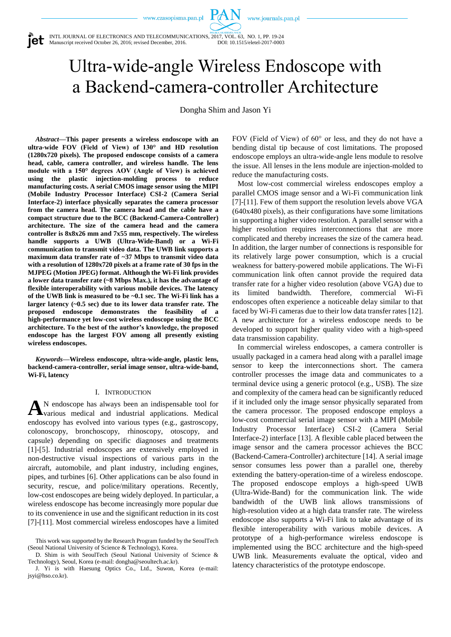www.journals.pan.pl

INTL JOURNAL OF ELECTRONICS AND TELECOMMUNICATIONS, 2017, VOL. 63, NO. 1, PP. 19-24 Manuscript received October 26, 2016; revised December, 2016. DOI: 10.1515/eletel-2017-0003

Ultra-wide-angle Wireless Endoscope with a Backend-camera-controller Architecture

 $P_{\alpha}$ 

Dongha Shim and Jason Yi

*Abstract***—This paper presents a wireless endoscope with an ultra-wide FOV (Field of View) of 130° and HD resolution (1280x720 pixels). The proposed endoscope consists of a camera head, cable, camera controller, and wireless handle. The lens module with a 150° degrees AOV (Angle of View) is achieved using the plastic injection-molding process to reduce manufacturing costs. A serial CMOS image sensor using the MIPI (Mobile Industry Processor Interface) CSI-2 (Camera Serial Interface-2) interface physically separates the camera processor from the camera head. The camera head and the cable have a compact structure due to the BCC (Backend-Camera-Controller) architecture. The size of the camera head and the camera controller is 8x8x26 mm and 7x55 mm, respectively. The wireless handle supports a UWB (Ultra-Wide-Band) or a Wi-Fi communication to transmit video data. The UWB link supports a maximum data transfer rate of ~37 Mbps to transmit video data with a resolution of 1280x720 pixels at a frame rate of 30 fps in the MJPEG (Motion JPEG) format. Although the Wi-Fi link provides a lower data transfer rate (~8 Mbps Max.), it has the advantage of flexible interoperability with various mobile devices. The latency of the UWB link is measured to be ~0.1 sec. The Wi-Fi link has a larger latency (~0.5 sec) due to its lower data transfer rate. The proposed endoscope demonstrates the feasibility of a high-performance yet low-cost wireless endoscope using the BCC architecture. To the best of the author's knowledge, the proposed endoscope has the largest FOV among all presently existing wireless endoscopes.**

*Keywords***—Wireless endoscope, ultra-wide-angle, plastic lens, backend-camera-controller, serial image sensor, ultra-wide-band, Wi-Fi, latency**

# I. INTRODUCTION

N endoscope has always been an indispensable tool for various medical and industrial applications. Medical endoscopy has evolved into various types (e.g., gastroscopy, colonoscopy, bronchoscopy, rhinoscopy, otoscopy, and capsule) depending on specific diagnoses and treatments [1]-[5]. Industrial endoscopes are extensively employed in non-destructive visual inspections of various parts in the aircraft, automobile, and plant industry, including engines, pipes, and turbines [6]. Other applications can be also found in security, rescue, and police/military operations. Recently, low-cost endoscopes are being widely deployed. In particular, a wireless endoscope has become increasingly more popular due to its convenience in use and the significant reduction in its cost [7]-[11]. Most commercial wireless endoscopes have a limited **A**

FOV (Field of View) of 60° or less, and they do not have a bending distal tip because of cost limitations. The proposed endoscope employs an ultra-wide-angle lens module to resolve the issue. All lenses in the lens module are injection-molded to reduce the manufacturing costs.

Most low-cost commercial wireless endoscopes employ a parallel CMOS image sensor and a Wi-Fi communication link [7]-[11]. Few of them support the resolution levels above VGA (640x480 pixels), as their configurations have some limitations in supporting a higher video resolution. A parallel sensor with a higher resolution requires interconnections that are more complicated and thereby increases the size of the camera head. In addition, the larger number of connections is responsible for its relatively large power consumption, which is a crucial weakness for battery-powered mobile applications. The Wi-Fi communication link often cannot provide the required data transfer rate for a higher video resolution (above VGA) due to its limited bandwidth. Therefore, commercial Wi-Fi endoscopes often experience a noticeable delay similar to that faced by Wi-Fi cameras due to their low data transfer rates [12]. A new architecture for a wireless endoscope needs to be developed to support higher quality video with a high-speed data transmission capability.

In commercial wireless endoscopes, a camera controller is usually packaged in a camera head along with a parallel image sensor to keep the interconnections short. The camera controller processes the image data and communicates to a terminal device using a generic protocol (e.g., USB). The size and complexity of the camera head can be significantly reduced if it included only the image sensor physically separated from the camera processor. The proposed endoscope employs a low-cost commercial serial image sensor with a MIPI (Mobile Industry Processor Interface) CSI-2 (Camera Serial Interface-2) interface [13]. A flexible cable placed between the image sensor and the camera processor achieves the BCC (Backend-Camera-Controller) architecture [14]. A serial image sensor consumes less power than a parallel one, thereby extending the battery-operation-time of a wireless endoscope. The proposed endoscope employs a high-speed UWB (Ultra-Wide-Band) for the communication link. The wide bandwidth of the UWB link allows transmissions of high-resolution video at a high data transfer rate. The wireless endoscope also supports a Wi-Fi link to take advantage of its flexible interoperability with various mobile devices. A prototype of a high-performance wireless endoscope is implemented using the BCC architecture and the high-speed UWB link. Measurements evaluate the optical, video and latency characteristics of the prototype endoscope.

This work was supported by the Research Program funded by the SeoulTech (Seoul National University of Science & Technology), Korea.

D. Shim is with SeoulTech (Seoul National University of Science & Technology), Seoul, Korea (e-mail: dongha@seoultech.ac.kr).

J. Yi is with Haesung Optics Co., Ltd., Suwon, Korea (e-mail: jsyi@hso.co.kr).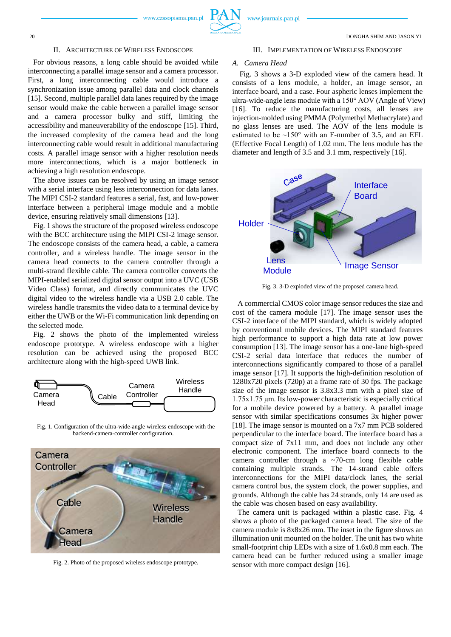# II. ARCHITECTURE OF WIRELESS ENDOSCOPE

For obvious reasons, a long cable should be avoided while interconnecting a parallel image sensor and a camera processor. First, a long interconnecting cable would introduce a synchronization issue among parallel data and clock channels [15]. Second, multiple parallel data lanes required by the image sensor would make the cable between a parallel image sensor and a camera processor bulky and stiff, limiting the accessibility and maneuverability of the endoscope [15]. Third, the increased complexity of the camera head and the long interconnecting cable would result in additional manufacturing costs. A parallel image sensor with a higher resolution needs more interconnections, which is a major bottleneck in achieving a high resolution endoscope.

The above issues can be resolved by using an image sensor with a serial interface using less interconnection for data lanes. The MIPI CSI-2 standard features a serial, fast, and low-power interface between a peripheral image module and a mobile device, ensuring relatively small dimensions [13].

Fig. 1 shows the structure of the proposed wireless endoscope with the BCC architecture using the MIPI CSI-2 image sensor. The endoscope consists of the camera head, a cable, a camera controller, and a wireless handle. The image sensor in the camera head connects to the camera controller through a multi-strand flexible cable. The camera controller converts the MIPI-enabled serialized digital sensor output into a UVC (USB Video Class) format, and directly communicates the UVC digital video to the wireless handle via a USB 2.0 cable. The wireless handle transmits the video data to a terminal device by either the UWB or the Wi-Fi communication link depending on the selected mode.

Fig. 2 shows the photo of the implemented wireless endoscope prototype. A wireless endoscope with a higher resolution can be achieved using the proposed BCC architecture along with the high-speed UWB link.



Fig. 1. Configuration of the ultra-wide-angle wireless endoscope with the backend-camera-controller configuration.



Fig. 2. Photo of the proposed wireless endoscope prototype.

#### III. IMPLEMENTATION OF WIRELESS ENDOSCOPE

#### *A. Camera Head*

Fig. 3 shows a 3-D exploded view of the camera head. It consists of a lens module, a holder, an image sensor, an interface board, and a case. Four aspheric lenses implement the ultra-wide-angle lens module with a 150° AOV (Angle of View) [16]. To reduce the manufacturing costs, all lenses are injection-molded using PMMA (Polymethyl Methacrylate) and no glass lenses are used. The AOV of the lens module is estimated to be  $\sim$ 150 $\degree$  with an F-number of 3.5, and an EFL (Effective Focal Length) of 1.02 mm. The lens module has the diameter and length of 3.5 and 3.1 mm, respectively [16].



Fig. 3. 3-D exploded view of the proposed camera head.

A commercial CMOS color image sensor reduces the size and cost of the camera module [17]. The image sensor uses the CSI-2 interface of the MIPI standard, which is widely adopted by conventional mobile devices. The MIPI standard features high performance to support a high data rate at low power consumption [13]. The image sensor has a one-lane high-speed CSI-2 serial data interface that reduces the number of interconnections significantly compared to those of a parallel image sensor [17]. It supports the high-definition resolution of 1280x720 pixels (720p) at a frame rate of 30 fps. The package size of the image sensor is 3.8x3.3 mm with a pixel size of 1.75x1.75 μm. Its low-power characteristic is especially critical for a mobile device powered by a battery. A parallel image sensor with similar specifications consumes 3x higher power [18]. The image sensor is mounted on a 7x7 mm PCB soldered perpendicular to the interface board. The interface board has a compact size of 7x11 mm, and does not include any other electronic component. The interface board connects to the camera controller through a ~70-cm long flexible cable containing multiple strands. The 14-strand cable offers interconnections for the MIPI data/clock lanes, the serial camera control bus, the system clock, the power supplies, and grounds. Although the cable has 24 strands, only 14 are used as the cable was chosen based on easy availability.

The camera unit is packaged within a plastic case. Fig. 4 shows a photo of the packaged camera head. The size of the camera module is 8x8x26 mm. The inset in the figure shows an illumination unit mounted on the holder. The unit has two white small-footprint chip LEDs with a size of 1.6x0.8 mm each. The camera head can be further reduced using a smaller image sensor with more compact design [16].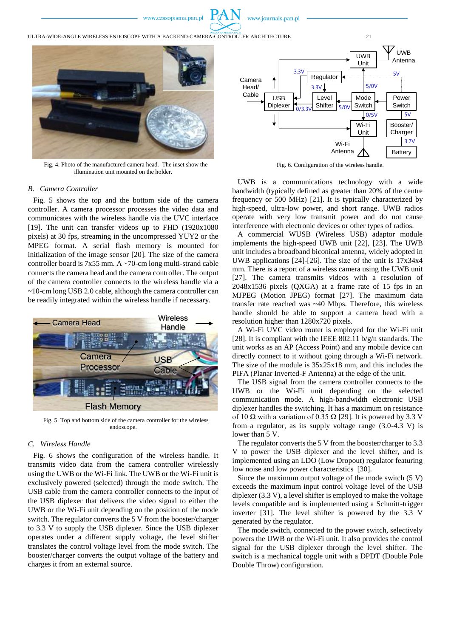

ULTRA-WIDE-ANGLE WIRELESS ENDOSCOPE WITH A BACKEND-CAMERA-CONTROLLER ARCHITECTURE 21



Fig. 4. Photo of the manufactured camera head. The inset show the illumination unit mounted on the holder.

# *B. Camera Controller*

Fig. 5 shows the top and the bottom side of the camera controller. A camera processor processes the video data and communicates with the wireless handle via the UVC interface [19]. The unit can transfer videos up to FHD (1920x1080 pixels) at 30 fps, streaming in the uncompressed YUY2 or the MPEG format. A serial flash memory is mounted for initialization of the image sensor [20]. The size of the camera controller board is 7x55 mm. A ~70-cm long multi-strand cable connects the camera head and the camera controller. The output of the camera controller connects to the wireless handle via a ~10-cm long USB 2.0 cable, although the camera controller can be readily integrated within the wireless handle if necessary.



Fig. 5. Top and bottom side of the camera controller for the wireless endoscope.

## *C. Wireless Handle*

Fig. 6 shows the configuration of the wireless handle. It transmits video data from the camera controller wirelessly using the UWB or the Wi-Fi link. The UWB or the Wi-Fi unit is exclusively powered (selected) through the mode switch. The USB cable from the camera controller connects to the input of the USB diplexer that delivers the video signal to either the UWB or the Wi-Fi unit depending on the position of the mode switch. The regulator converts the 5 V from the booster/charger to 3.3 V to supply the USB diplexer. Since the USB diplexer operates under a different supply voltage, the level shifter translates the control voltage level from the mode switch. The booster/charger converts the output voltage of the battery and charges it from an external source.



Fig. 6. Configuration of the wireless handle.

UWB is a communications technology with a wide bandwidth (typically defined as greater than 20% of the centre frequency or 500 MHz) [21]. It is typically characterized by high-speed, ultra-low power, and short range. UWB radios operate with very low transmit power and do not cause interference with electronic devices or other types of radios.

A commercial WUSB (Wireless USB) adaptor module implements the high-speed UWB unit [22], [23]. The UWB unit includes a broadband biconical antenna, widely adopted in UWB applications [24]-[26]. The size of the unit is 17x34x4 mm. There is a report of a wireless camera using the UWB unit [27]. The camera transmits videos with a resolution of 2048x1536 pixels (QXGA) at a frame rate of 15 fps in an MJPEG (Motion JPEG) format [27]. The maximum data transfer rate reached was ~40 Mbps. Therefore, this wireless handle should be able to support a camera head with a resolution higher than 1280x720 pixels.

A Wi-Fi UVC video router is employed for the Wi-Fi unit [28]. It is compliant with the IEEE 802.11 b/g/n standards. The unit works as an AP (Access Point) and any mobile device can directly connect to it without going through a Wi-Fi network. The size of the module is 35x25x18 mm, and this includes the PIFA (Planar Inverted-F Antenna) at the edge of the unit.

The USB signal from the camera controller connects to the UWB or the Wi-Fi unit depending on the selected communication mode. A high-bandwidth electronic USB diplexer handles the switching. It has a maximum on resistance of 10  $\Omega$  with a variation of 0.35  $\Omega$  [29]. It is powered by 3.3 V from a regulator, as its supply voltage range (3.0-4.3 V) is lower than 5 V.

The regulator converts the 5 V from the booster/charger to 3.3 V to power the USB diplexer and the level shifter, and is implemented using an LDO (Low Dropout) regulator featuring low noise and low power characteristics [30].

Since the maximum output voltage of the mode switch (5 V) exceeds the maximum input control voltage level of the USB diplexer (3.3 V), a level shifter is employed to make the voltage levels compatible and is implemented using a Schmitt-trigger inverter [31]. The level shifter is powered by the 3.3 V generated by the regulator.

The mode switch, connected to the power switch, selectively powers the UWB or the Wi-Fi unit. It also provides the control signal for the USB diplexer through the level shifter. The switch is a mechanical toggle unit with a DPDT (Double Pole Double Throw) configuration.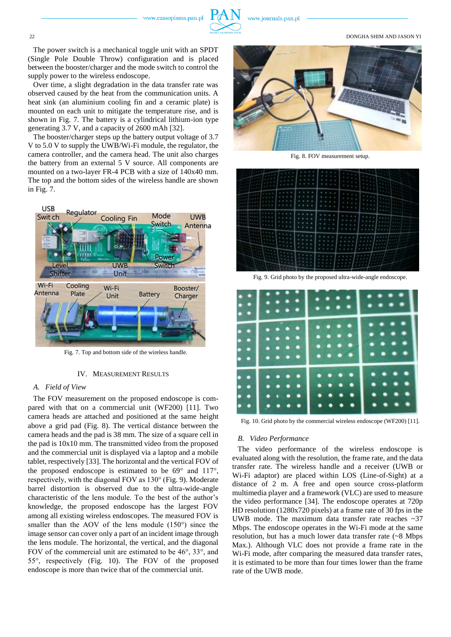

#### 22 DONGHA SHIM AND JASON YI

The power switch is a mechanical toggle unit with an SPDT (Single Pole Double Throw) configuration and is placed between the booster/charger and the mode switch to control the supply power to the wireless endoscope.

Over time, a slight degradation in the data transfer rate was observed caused by the heat from the communication units. A heat sink (an aluminium cooling fin and a ceramic plate) is mounted on each unit to mitigate the temperature rise, and is shown in Fig. 7. The battery is a cylindrical lithium-ion type generating 3.7 V, and a capacity of 2600 mAh [32].

The booster/charger steps up the battery output voltage of 3.7 V to 5.0 V to supply the UWB/Wi-Fi module, the regulator, the camera controller, and the camera head. The unit also charges the battery from an external 5 V source. All components are mounted on a two-layer FR-4 PCB with a size of 140x40 mm. The top and the bottom sides of the wireless handle are shown in Fig. 7.



Fig. 7. Top and bottom side of the wireless handle.

## IV. MEASUREMENT RESULTS

# *A. Field of View*

The FOV measurement on the proposed endoscope is compared with that on a commercial unit (WF200) [11]. Two camera heads are attached and positioned at the same height above a grid pad (Fig. 8). The vertical distance between the camera heads and the pad is 38 mm. The size of a square cell in the pad is 10x10 mm. The transmitted video from the proposed and the commercial unit is displayed via a laptop and a mobile tablet, respectively [33]. The horizontal and the vertical FOV of the proposed endoscope is estimated to be 69° and 117°, respectively, with the diagonal FOV as 130° (Fig. 9). Moderate barrel distortion is observed due to the ultra-wide-angle characteristic of the lens module. To the best of the author's knowledge, the proposed endoscope has the largest FOV among all existing wireless endoscopes. The measured FOV is smaller than the AOV of the lens module (150°) since the image sensor can cover only a part of an incident image through the lens module. The horizontal, the vertical, and the diagonal FOV of the commercial unit are estimated to be 46°, 33°, and 55°, respectively (Fig. 10). The FOV of the proposed endoscope is more than twice that of the commercial unit.



Fig. 8. FOV measurement setup.

|                                                                                                                                                                                                                                                                       | œ<br>اللي<br>التي<br>ھي                                            | <b>COLLEGE</b><br>معرو<br>مي<br><b>STATISTICS</b>                                   | ×<br>٠<br>٠<br>×<br>$n = 0$<br>×<br>٠<br>٠<br>$-10 - 10$<br>×<br>٠<br>$n =$<br>×<br>٠                                                                           | ٠<br>٠<br>٠<br>٠<br>٠<br>٠                | ٠<br>٠<br>×.<br>P.<br>٠<br>٠<br><b>ST 10</b><br>٠<br>×<br>$-10 - 10$<br>٠<br>۰<br>$-100$                           | ٠<br>۰<br>٠<br>٠<br>٠<br>ن ب<br>٠<br>n.<br><b>The Second</b><br>۰<br>٠<br><b>Barriot</b>                          | ٠<br>٠.<br>$\sim$<br>۰.<br>din 1979.<br>ang-<br>۰.<br>an,<br>an a<br>an,<br><b>Color</b>                                                                                                   |
|-----------------------------------------------------------------------------------------------------------------------------------------------------------------------------------------------------------------------------------------------------------------------|--------------------------------------------------------------------|-------------------------------------------------------------------------------------|-----------------------------------------------------------------------------------------------------------------------------------------------------------------|-------------------------------------------|--------------------------------------------------------------------------------------------------------------------|-------------------------------------------------------------------------------------------------------------------|--------------------------------------------------------------------------------------------------------------------------------------------------------------------------------------------|
| <b>The Contract of the Contract of the Contract of the Contract of the Contract of the Contract of the Contract of the Contract of the Contract of the Contract of the Contract of the Contract of the Contract of the Contract </b><br>$1000 + 1000$<br>$-0.44$<br>- | الألي<br>a post<br>主の主に<br>$10.5 - 0.3$                            | <b>COL</b><br>$10-10$<br><b>ALCOHOL:</b><br>$-4$<br>1.11<br>****                    | ٠<br>٠<br>٠<br>×<br>٠<br>٠<br>٠<br>×<br>٠<br>٠<br>۰                                                                                                             | ٠<br>٠<br>٠<br>٠<br>$\rightarrow$         | ٠<br>٠<br>٠<br>٠<br>٠<br>×.<br>٠<br>٠<br>×<br>٠<br>٠<br>×.                                                         | ٠<br><b>STEP</b><br>۰.<br>٠<br>a.<br><b>18 (18)</b><br>$\sim$<br>$\sim$<br>×<br>٠<br>P.<br>$\mathbf{r}$<br>×<br>٠ | ٠,<br>an,<br>٠.<br>ł<br><b>ALC</b><br><b>COLUM</b><br>٠<br>٠<br>$-8.8$<br><u>a.,</u><br><b>COLUM</b><br>۰<br>an a<br><b>STATE</b><br><b>COLOR</b><br>an an<br>٠<br>$x - a$<br><b>COLOR</b> |
| 16.68<br>1266<br><b>SALL</b><br>--                                                                                                                                                                                                                                    | 请用审算<br>10.00 00.00<br>(8-10 W. M.)<br><b>PERSONAL</b><br>an massa | . .<br>$n - n$<br><b>S.A.W. B</b><br>10.00<br>$4 - 6$<br><b>ALCOHOL:</b>            | ٠<br>٠<br>×<br>٠<br>٠<br>٠<br>٠<br>$\overline{a}$<br>٠<br>٠<br>٠<br>٠<br>٠<br>٠                                                                                 | ٠<br>٠<br>٠<br>٠<br>٠<br>٠                | ٠<br>٠<br>٠<br>٠<br>٠<br>٠<br>٠<br>$\sim$                                                                          | ٠<br>٠<br>٠<br>×<br>٠<br>٠<br>٠<br>٠<br>٠<br>$\blacksquare$<br>٠<br>٠<br>٠<br>$\sim$                              | The Color<br>٠<br>٠<br>٠<br><b>FIFEFIN</b><br>9488<br>$\sim$<br>$\sim$<br>9 9 9 9<br><b>State Street</b><br>٠<br>. .<br><br>$9 - 9 - 8$<br>$-1$ $+1$<br>$10 - 10 - 10 = 1$                 |
| <b>Stationary</b><br>۰.<br>۰<br>٠<br>16<br>۰.                                                                                                                                                                                                                         | <b>STATE</b><br>an ng<br>a <sub>lar</sub><br><b>Change</b><br>an,  | <b>ALCOHOL:</b><br><b>STATION</b><br><b>Change</b><br>an <sub>de</sub><br>din 1979. | ٠<br>٠<br>٠<br>٠<br>٠<br>$\overline{a}$<br>٠<br>$1 - 4$<br>۰<br>۰<br>٠<br>×<br>$\mathcal{L}$<br>$\blacksquare$<br>۰<br>٠<br>۰<br><b>PERSONAL</b><br>٠<br>٠<br>٠ | ٠<br>٠<br>٠<br>٠<br>٠<br>٠<br>۰<br>$\sim$ | $\overline{\phantom{a}}$<br>٠<br>$\sim$<br>$\sim$<br>٠<br>$\sim$<br>$\overline{a}$<br>٠<br>$\sim$<br>$\rightarrow$ | ٠<br>٠<br>٠<br>٠<br>٠<br>٠<br>٠<br>٠<br>٠<br>٠<br>×<br>a.                                                         | 3.111<br>$-0.001$<br>$-10^{-1}$<br><b>COLLEGE</b><br>日野井市<br>×<br>٠                                                                                                                        |
|                                                                                                                                                                                                                                                                       | 41 p<br>٠.<br>—<br>۰.<br>٠                                         | ang,<br>۰<br>47<br>47<br>×.<br>×<br>٠<br>۰,                                         | ٠<br><b>COLLEGE</b><br>×<br>٠<br>ý.<br>×<br>×<br>٠<br>٠<br>٠<br>٦<br>$\frac{1}{4}$<br>٠<br>×<br>۰<br>9.91<br>٠<br><b>CALL AND</b>                               | 97.14<br>×<br>×<br>۰<br>×<br>46.146       | ٠<br>$\rightarrow$<br>٠<br>٠<br>$\sim$<br>٠<br>٠<br>٠<br>٠                                                         | $\sim$<br>٠<br>10.10<br>٠<br>$\sim$<br>$\mathbf{r}$<br>$\sim$<br>×<br>٠<br>÷<br>٠<br>$-10$<br>نائي                | مي<br><b>STAR</b><br>œ.<br><b>SE</b><br>$\sim$<br>m<br><b>COLLE</b><br>$x - x$<br><b>STATISTICS</b><br>×<br>ا ہے۔<br>$\bullet$<br><b>COL</b><br>$-0.92$                                    |

Fig. 9. Grid photo by the proposed ultra-wide-angle endoscope.



Fig. 10. Grid photo by the commercial wireless endoscope (WF200) [11].

## *B. Video Performance*

The video performance of the wireless endoscope is evaluated along with the resolution, the frame rate, and the data transfer rate. The wireless handle and a receiver (UWB or Wi-Fi adaptor) are placed within LOS (Line-of-Sight) at a distance of 2 m. A free and open source cross-platform multimedia player and a framework (VLC) are used to measure the video performance [34]. The endoscope operates at 720p HD resolution (1280x720 pixels) at a frame rate of 30 fps in the UWB mode. The maximum data transfer rate reaches ~37 Mbps. The endoscope operates in the Wi-Fi mode at the same resolution, but has a much lower data transfer rate (~8 Mbps Max.). Although VLC does not provide a frame rate in the Wi-Fi mode, after comparing the measured data transfer rates, it is estimated to be more than four times lower than the frame rate of the UWB mode.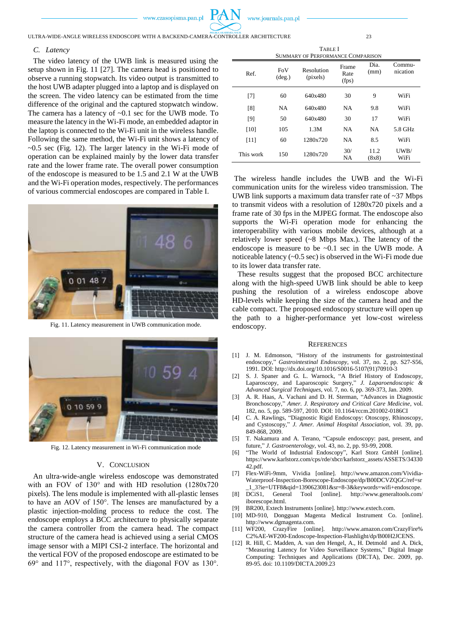

ULTRA-WIDE-ANGLE WIRELESS ENDOSCOPE WITH A BACKEND-CAMERA-CONTROLLER ARCHITECTURE 23

## *C. Latency*

The video latency of the UWB link is measured using the setup shown in Fig. 11 [27]. The camera head is positioned to observe a running stopwatch. Its video output is transmitted to the host UWB adapter plugged into a laptop and is displayed on the screen. The video latency can be estimated from the time difference of the original and the captured stopwatch window. The camera has a latency of ~0.1 sec for the UWB mode. To measure the latency in the Wi-Fi mode, an embedded adaptor in the laptop is connected to the Wi-Fi unit in the wireless handle. Following the same method, the Wi-Fi unit shows a latency of  $\sim 0.5$  sec (Fig. 12). The larger latency in the Wi-Fi mode of operation can be explained mainly by the lower data transfer rate and the lower frame rate. The overall power consumption of the endoscope is measured to be 1.5 and 2.1 W at the UWB and the Wi-Fi operation modes, respectively. The performances of various commercial endoscopes are compared in Table I.



Fig. 11. Latency measurement in UWB communication mode.



Fig. 12. Latency measurement in Wi-Fi communication mode

# V. CONCLUSION

An ultra-wide-angle wireless endoscope was demonstrated with an FOV of 130° and with HD resolution (1280x720 pixels). The lens module is implemented with all-plastic lenses to have an AOV of 150°. The lenses are manufactured by a plastic injection-molding process to reduce the cost. The endoscope employs a BCC architecture to physically separate the camera controller from the camera head. The compact structure of the camera head is achieved using a serial CMOS image sensor with a MIPI CSI-2 interface. The horizontal and the vertical FOV of the proposed endoscope are estimated to be 69° and 117°, respectively, with the diagonal FOV as 130°.

TABLE I SUMMARY OF PERFORMANCE COMPARISON

| Ref.      | FoV<br>$(\text{deg.})$ | Resolution<br>(pixels) | Frame<br>Rate<br>(fps) | Dia.<br>(mm)  | Commu-<br>nication |
|-----------|------------------------|------------------------|------------------------|---------------|--------------------|
| [7]       | 60                     | 640x480                | 30                     | 9             | WiFi               |
| [8]       | <b>NA</b>              | 640x480                | <b>NA</b>              | 9.8           | WiFi               |
| [9]       | 50                     | 640x480                | 30                     | 17            | WiFi               |
| [10]      | 105                    | 1.3M                   | <b>NA</b>              | <b>NA</b>     | 5.8 GHz            |
| [11]      | 60                     | 1280x720               | <b>NA</b>              | 8.5           | WiFi               |
| This work | 150                    | 1280x720               | 30/<br>NA              | 11.2<br>(8x8) | UWB/<br>WiFi       |

The wireless handle includes the UWB and the Wi-Fi communication units for the wireless video transmission. The UWB link supports a maximum data transfer rate of ~37 Mbps to transmit videos with a resolution of 1280x720 pixels and a frame rate of 30 fps in the MJPEG format. The endoscope also supports the Wi-Fi operation mode for enhancing the interoperability with various mobile devices, although at a relatively lower speed (~8 Mbps Max.). The latency of the endoscope is measure to be ~0.1 sec in the UWB mode. A noticeable latency (~0.5 sec) is observed in the Wi-Fi mode due to its lower data transfer rate.

These results suggest that the proposed BCC architecture along with the high-speed UWB link should be able to keep pushing the resolution of a wireless endoscope above HD-levels while keeping the size of the camera head and the cable compact. The proposed endoscopy structure will open up the path to a higher-performance yet low-cost wireless endoscopy.

## **REFERENCES**

- [1] J. M. Edmonson, "History of the instruments for gastrointestinal endoscopy," *Gastrointestinal Endoscopy*, vol. 37, no. 2, pp. S27-S56, 1991. DOI: http://dx.doi.org/10.1016/S0016-5107(91)70910-3
- [2] S. J. Spaner and G. L. Warnock, "A Brief History of Endoscopy, Laparoscopy, and Laparoscopic Surgery," *J. Laparoendoscopic & Advanced Surgical Techniques*, vol. 7, no. 6, pp. 369-373, Jan. 2009.
- [3] A. R. Haas, A. Vachani and D. H. Sterman, "Advances in Diagnostic Bronchoscopy," *Amer. J. Respiratory and Critical Care Medicine*, vol. 182, no. 5, pp. 589-597, 2010. DOI: 10.1164/rccm.201002-0186CI
- [4] C. A. Rawlings, "Diagnostic Rigid Endoscopy: Otoscopy, Rhinoscopy, and Cystoscopy," *J. Amer. Animal Hospital Association*, vol. 39, pp. 849-868, 2009.
- [5] T. Nakamura and A. Terano, "Capsule endoscopy: past, present, and future," *J. Gastroenterology*, vol. 43, no. 2, pp. 93-99, 2008.
- [6] "The World of Industrial Endoscopy", Karl Storz GmbH [online]. https://www.karlstorz.com/cps/rde/xbcr/karlstorz\_assets/ASSETS/34330 42.pdf.
- [7] Flex-WiFi-9mm, Vividia [online]. http://www.amazon.com/Vividia-Waterproof-Inspection-Borescope-Endoscope/dp/B00DCVZQGC/ref=sr
- \_1\_3?ie=UTF8&qid=1390623081&sr=8-3&keywords=wifi+endoscope. [8] DCiS1, General Tool [online]. http://www.generaltools.com/ iborescope.html.
- BR200, Extech Instruments [online]. http://www.extech.com.
- [10] MD-910, Dongguan Magenta Medical Instrument Co. [online]. http://www.dgmagenta.com.
- [11] WF200, CrazyFire [online]. http://www.amazon.com/CrazyFire% C2%AE-WF200-Endoscope-Inspection-Flashlight/dp/B00H2JCENS.
- [12] R. Hill, C. Madden, A. van den Hengel, A., H. Detmold and A. Dick, "Measuring Latency for Video Surveillance Systems," Digital Image Computing: Techniques and Applications (DICTA), Dec. 2009, pp. 89-95. doi: 10.1109/DICTA.2009.23